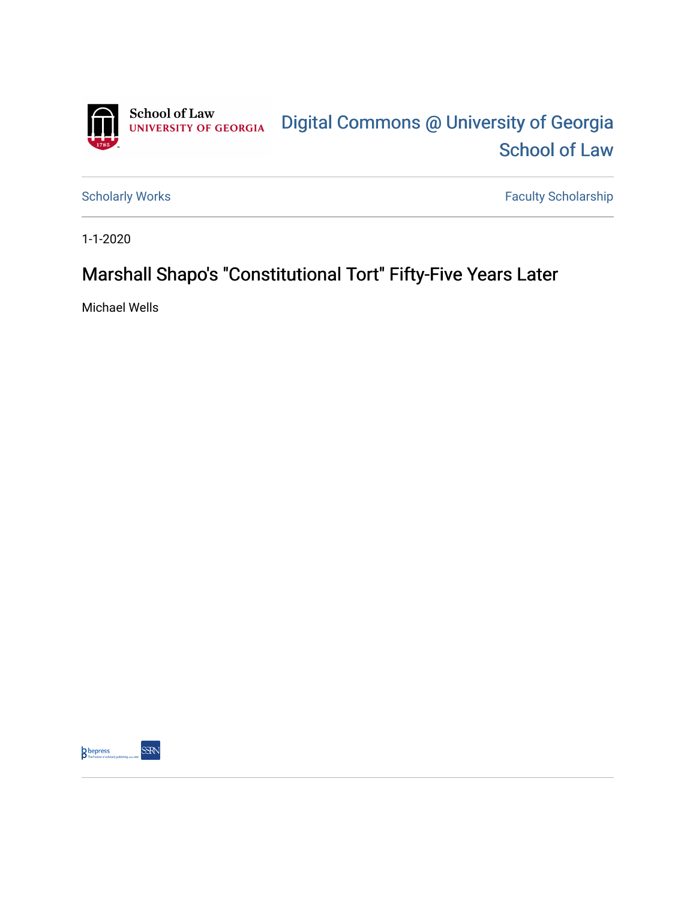

[Scholarly Works](https://digitalcommons.law.uga.edu/fac_artchop) Faculty Scholarship

1-1-2020

# Marshall Shapo's "Constitutional Tort" Fifty-Five Years Later

Michael Wells



SSRN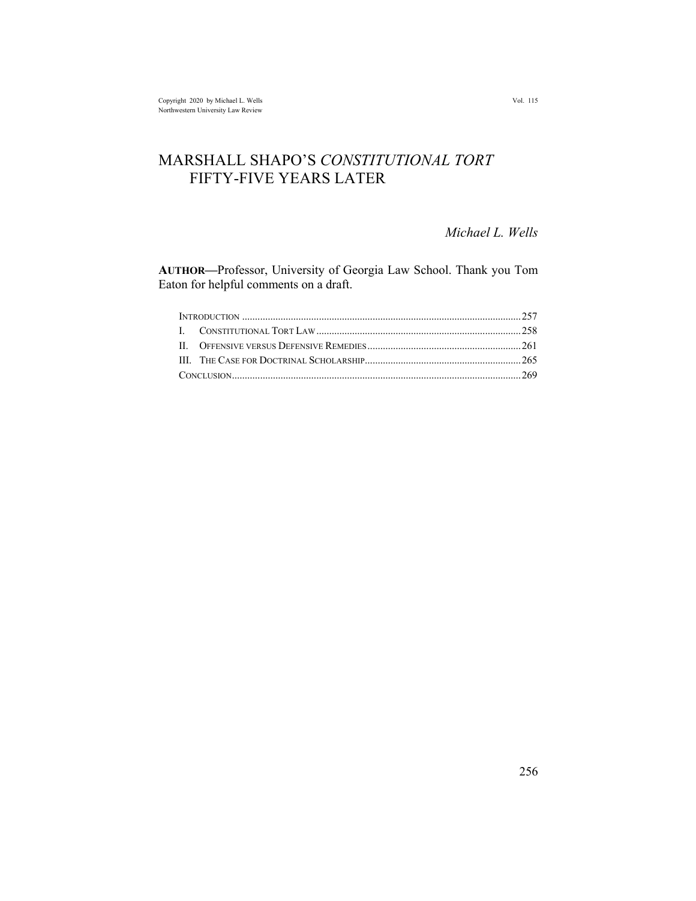## MARSHALL SHAPO'S *CONSTITUTIONAL TORT* FIFTY-FIVE YEARS LATER

*Michael L. Wells*

**AUTHOR—**Professor, University of Georgia Law School. Thank you Tom Eaton for helpful comments on a draft.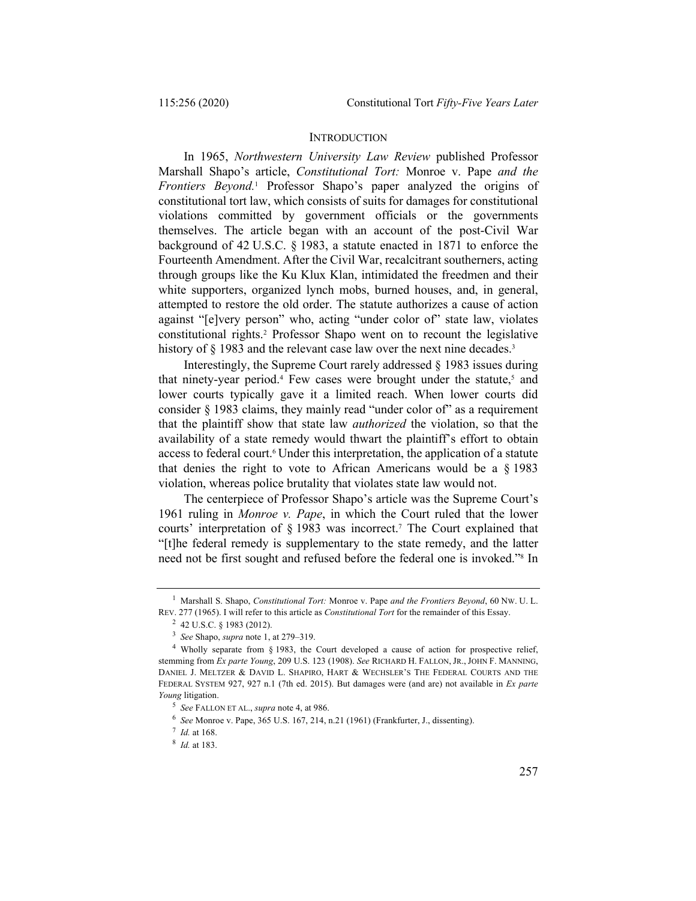#### **INTRODUCTION**

In 1965, *Northwestern University Law Review* published Professor Marshall Shapo's article, *Constitutional Tort:* Monroe v. Pape *and the Frontiers Beyond.*<sup>1</sup> Professor Shapo's paper analyzed the origins of constitutional tort law, which consists of suits for damages for constitutional violations committed by government officials or the governments themselves. The article began with an account of the post-Civil War background of 42 U.S.C. § 1983, a statute enacted in 1871 to enforce the Fourteenth Amendment. After the Civil War, recalcitrant southerners, acting through groups like the Ku Klux Klan, intimidated the freedmen and their white supporters, organized lynch mobs, burned houses, and, in general, attempted to restore the old order. The statute authorizes a cause of action against "[e]very person" who, acting "under color of" state law, violates constitutional rights.2 Professor Shapo went on to recount the legislative history of § 1983 and the relevant case law over the next nine decades.<sup>3</sup>

Interestingly, the Supreme Court rarely addressed § 1983 issues during that ninety-year period.<sup>4</sup> Few cases were brought under the statute, $5$  and lower courts typically gave it a limited reach. When lower courts did consider § 1983 claims, they mainly read "under color of" as a requirement that the plaintiff show that state law *authorized* the violation, so that the availability of a state remedy would thwart the plaintiff's effort to obtain access to federal court.<sup>6</sup> Under this interpretation, the application of a statute that denies the right to vote to African Americans would be a § 1983 violation, whereas police brutality that violates state law would not.

The centerpiece of Professor Shapo's article was the Supreme Court's 1961 ruling in *Monroe v. Pape*, in which the Court ruled that the lower courts' interpretation of § 1983 was incorrect.7 The Court explained that "[t]he federal remedy is supplementary to the state remedy, and the latter need not be first sought and refused before the federal one is invoked."8 In

<sup>1</sup> Marshall S. Shapo, *Constitutional Tort:* Monroe v. Pape *and the Frontiers Beyond*, 60 NW. U. L. REV. 277 (1965). I will refer to this article as *Constitutional Tort* for the remainder of this Essay.

<sup>2</sup> 42 U.S.C. § 1983 (2012).

<sup>3</sup> *See* Shapo, *supra* note 1, at 279–319.

<sup>4</sup> Wholly separate from § 1983, the Court developed a cause of action for prospective relief, stemming from *Ex parte Young*, 209 U.S. 123 (1908). *See* RICHARD H. FALLON, JR., JOHN F. MANNING, DANIEL J. MELTZER & DAVID L. SHAPIRO, HART & WECHSLER'S THE FEDERAL COURTS AND THE FEDERAL SYSTEM 927, 927 n.1 (7th ed. 2015). But damages were (and are) not available in *Ex parte Young* litigation.

<sup>5</sup> *See* FALLON ET AL., *supra* note 4, at 986.

<sup>6</sup> *See* Monroe v. Pape, 365 U.S. 167, 214, n.21 (1961) (Frankfurter, J., dissenting).

<sup>7</sup> *Id.* at 168.

<sup>8</sup> *Id.* at 183.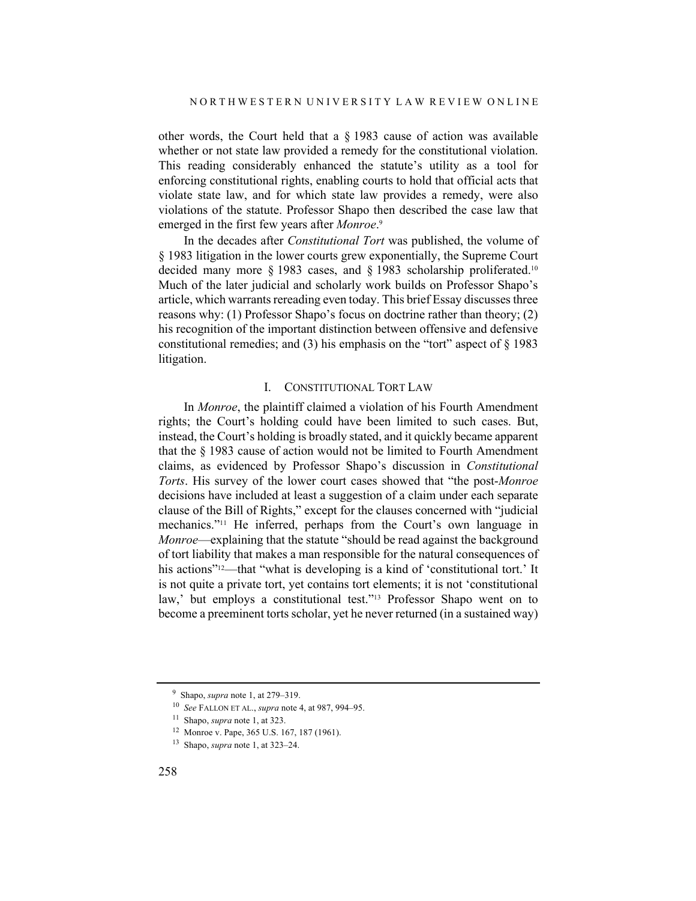other words, the Court held that a § 1983 cause of action was available whether or not state law provided a remedy for the constitutional violation. This reading considerably enhanced the statute's utility as a tool for enforcing constitutional rights, enabling courts to hold that official acts that violate state law, and for which state law provides a remedy, were also violations of the statute. Professor Shapo then described the case law that emerged in the first few years after *Monroe*. 9

In the decades after *Constitutional Tort* was published, the volume of § 1983 litigation in the lower courts grew exponentially, the Supreme Court decided many more § 1983 cases, and § 1983 scholarship proliferated.10 Much of the later judicial and scholarly work builds on Professor Shapo's article, which warrants rereading even today. This brief Essay discusses three reasons why: (1) Professor Shapo's focus on doctrine rather than theory; (2) his recognition of the important distinction between offensive and defensive constitutional remedies; and (3) his emphasis on the "tort" aspect of  $\S$  1983 litigation.

#### I. CONSTITUTIONAL TORT LAW

In *Monroe*, the plaintiff claimed a violation of his Fourth Amendment rights; the Court's holding could have been limited to such cases. But, instead, the Court's holding is broadly stated, and it quickly became apparent that the § 1983 cause of action would not be limited to Fourth Amendment claims, as evidenced by Professor Shapo's discussion in *Constitutional Torts*. His survey of the lower court cases showed that "the post-*Monroe* decisions have included at least a suggestion of a claim under each separate clause of the Bill of Rights," except for the clauses concerned with "judicial mechanics."11 He inferred, perhaps from the Court's own language in *Monroe*—explaining that the statute "should be read against the background of tort liability that makes a man responsible for the natural consequences of his actions"<sup>12</sup>—that "what is developing is a kind of 'constitutional tort.' It is not quite a private tort, yet contains tort elements; it is not 'constitutional law,' but employs a constitutional test."13 Professor Shapo went on to become a preeminent torts scholar, yet he never returned (in a sustained way)

<sup>9</sup> Shapo, *supra* note 1, at 279–319.

<sup>10</sup> *See* FALLON ET AL., *supra* note 4, at 987, 994–95.

<sup>11</sup> Shapo, *supra* note 1, at 323.

<sup>12</sup> Monroe v. Pape, 365 U.S. 167, 187 (1961).

<sup>13</sup> Shapo, *supra* note 1, at 323–24.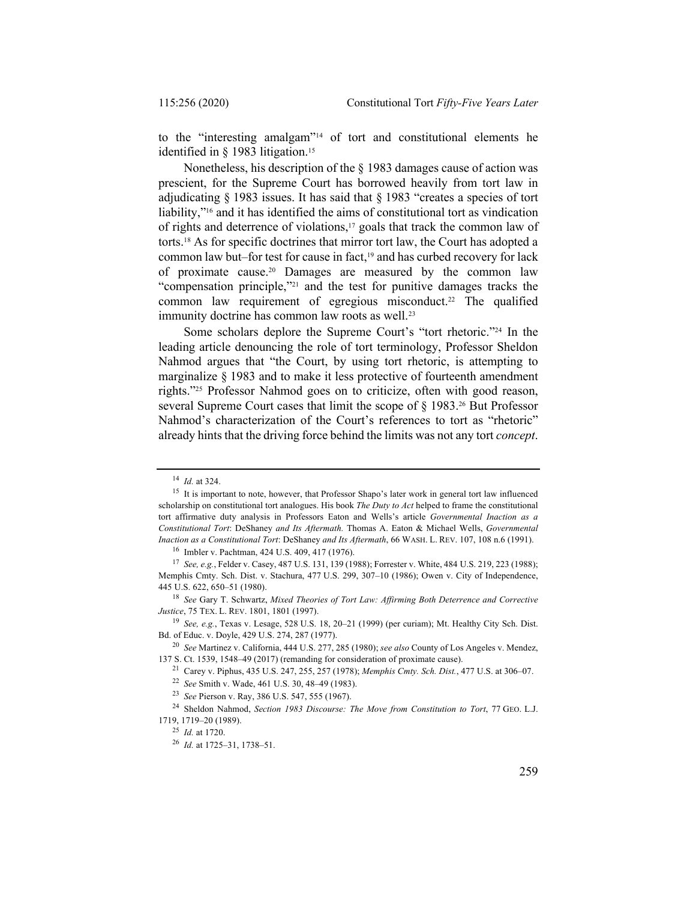to the "interesting amalgam"14 of tort and constitutional elements he identified in § 1983 litigation.<sup>15</sup>

Nonetheless, his description of the § 1983 damages cause of action was prescient, for the Supreme Court has borrowed heavily from tort law in adjudicating § 1983 issues. It has said that § 1983 "creates a species of tort liability,"16 and it has identified the aims of constitutional tort as vindication of rights and deterrence of violations,17 goals that track the common law of torts.18 As for specific doctrines that mirror tort law, the Court has adopted a common law but–for test for cause in fact,<sup>19</sup> and has curbed recovery for lack of proximate cause.20 Damages are measured by the common law "compensation principle,"21 and the test for punitive damages tracks the common law requirement of egregious misconduct.<sup>22</sup> The qualified immunity doctrine has common law roots as well.<sup>23</sup>

Some scholars deplore the Supreme Court's "tort rhetoric."24 In the leading article denouncing the role of tort terminology, Professor Sheldon Nahmod argues that "the Court, by using tort rhetoric, is attempting to marginalize § 1983 and to make it less protective of fourteenth amendment rights."25 Professor Nahmod goes on to criticize, often with good reason, several Supreme Court cases that limit the scope of  $\S$  1983.<sup>26</sup> But Professor Nahmod's characterization of the Court's references to tort as "rhetoric" already hints that the driving force behind the limits was not any tort *concept*.

<sup>14</sup> *Id.* at 324.

<sup>&</sup>lt;sup>15</sup> It is important to note, however, that Professor Shapo's later work in general tort law influenced scholarship on constitutional tort analogues. His book *The Duty to Act* helped to frame the constitutional tort affirmative duty analysis in Professors Eaton and Wells's article *Governmental Inaction as a Constitutional Tort*: DeShaney *and Its Aftermath.* Thomas A. Eaton & Michael Wells, *Governmental Inaction as a Constitutional Tort*: DeShaney *and Its Aftermath*, 66 WASH. L. REV. 107, 108 n.6 (1991).

<sup>16</sup> Imbler v. Pachtman, 424 U.S. 409, 417 (1976).

<sup>17</sup> *See, e.g.*, Felder v. Casey, 487 U.S. 131, 139 (1988); Forrester v. White, 484 U.S. 219, 223 (1988); Memphis Cmty. Sch. Dist. v. Stachura, 477 U.S. 299, 307–10 (1986); Owen v. City of Independence, 445 U.S. 622, 650–51 (1980).

<sup>18</sup> *See* Gary T. Schwartz, *Mixed Theories of Tort Law: Affirming Both Deterrence and Corrective Justice*, 75 TEX. L. REV. 1801, 1801 (1997).

<sup>19</sup> *See, e.g.*, Texas v. Lesage, 528 U.S. 18, 20–21 (1999) (per curiam); Mt. Healthy City Sch. Dist. Bd. of Educ. v. Doyle, 429 U.S. 274, 287 (1977).

<sup>20</sup> *See* Martinez v. California, 444 U.S. 277, 285 (1980); *see also* County of Los Angeles v. Mendez, 137 S. Ct. 1539, 1548–49 (2017) (remanding for consideration of proximate cause).

<sup>21</sup> Carey v. Piphus, 435 U.S. 247, 255, 257 (1978); *Memphis Cmty. Sch. Dist.*, 477 U.S. at 306–07.

<sup>22</sup> *See* Smith v. Wade, 461 U.S. 30, 48–49 (1983).

<sup>23</sup> *See* Pierson v. Ray, 386 U.S. 547, 555 (1967).

<sup>24</sup> Sheldon Nahmod, *Section 1983 Discourse: The Move from Constitution to Tort*, 77 GEO. L.J. 1719, 1719–20 (1989).

<sup>25</sup> *Id.* at 1720.

<sup>26</sup> *Id.* at 1725–31, 1738–51.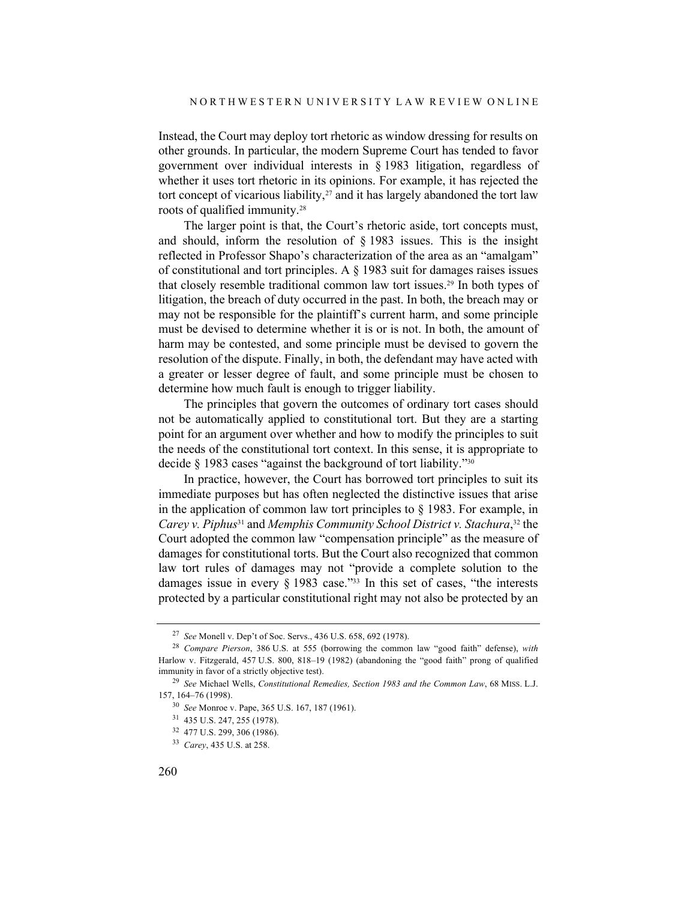Instead, the Court may deploy tort rhetoric as window dressing for results on other grounds. In particular, the modern Supreme Court has tended to favor government over individual interests in § 1983 litigation, regardless of whether it uses tort rhetoric in its opinions. For example, it has rejected the tort concept of vicarious liability, $27$  and it has largely abandoned the tort law roots of qualified immunity.28

The larger point is that, the Court's rhetoric aside, tort concepts must, and should, inform the resolution of § 1983 issues. This is the insight reflected in Professor Shapo's characterization of the area as an "amalgam" of constitutional and tort principles. A § 1983 suit for damages raises issues that closely resemble traditional common law tort issues.29 In both types of litigation, the breach of duty occurred in the past. In both, the breach may or may not be responsible for the plaintiff's current harm, and some principle must be devised to determine whether it is or is not. In both, the amount of harm may be contested, and some principle must be devised to govern the resolution of the dispute. Finally, in both, the defendant may have acted with a greater or lesser degree of fault, and some principle must be chosen to determine how much fault is enough to trigger liability.

The principles that govern the outcomes of ordinary tort cases should not be automatically applied to constitutional tort. But they are a starting point for an argument over whether and how to modify the principles to suit the needs of the constitutional tort context. In this sense, it is appropriate to decide § 1983 cases "against the background of tort liability."30

In practice, however, the Court has borrowed tort principles to suit its immediate purposes but has often neglected the distinctive issues that arise in the application of common law tort principles to  $\S$  1983. For example, in *Carey v. Piphus*<sup>31</sup> and *Memphis Community School District v. Stachura*, <sup>32</sup> the Court adopted the common law "compensation principle" as the measure of damages for constitutional torts. But the Court also recognized that common law tort rules of damages may not "provide a complete solution to the damages issue in every  $\S$  1983 case.<sup>733</sup> In this set of cases, "the interests" protected by a particular constitutional right may not also be protected by an

<sup>27</sup> *See* Monell v. Dep't of Soc. Servs., 436 U.S. 658, 692 (1978).

<sup>28</sup> *Compare Pierson*, 386 U.S. at 555 (borrowing the common law "good faith" defense), *with* Harlow v. Fitzgerald, 457 U.S. 800, 818–19 (1982) (abandoning the "good faith" prong of qualified immunity in favor of a strictly objective test).

<sup>29</sup> *See* Michael Wells, *Constitutional Remedies, Section 1983 and the Common Law*, 68 MISS. L.J. 157, 164–76 (1998).

<sup>30</sup> *See* Monroe v. Pape, 365 U.S. 167, 187 (1961).

<sup>31</sup> 435 U.S. 247, 255 (1978).

<sup>32</sup> 477 U.S. 299, 306 (1986).

<sup>33</sup> *Carey*, 435 U.S. at 258.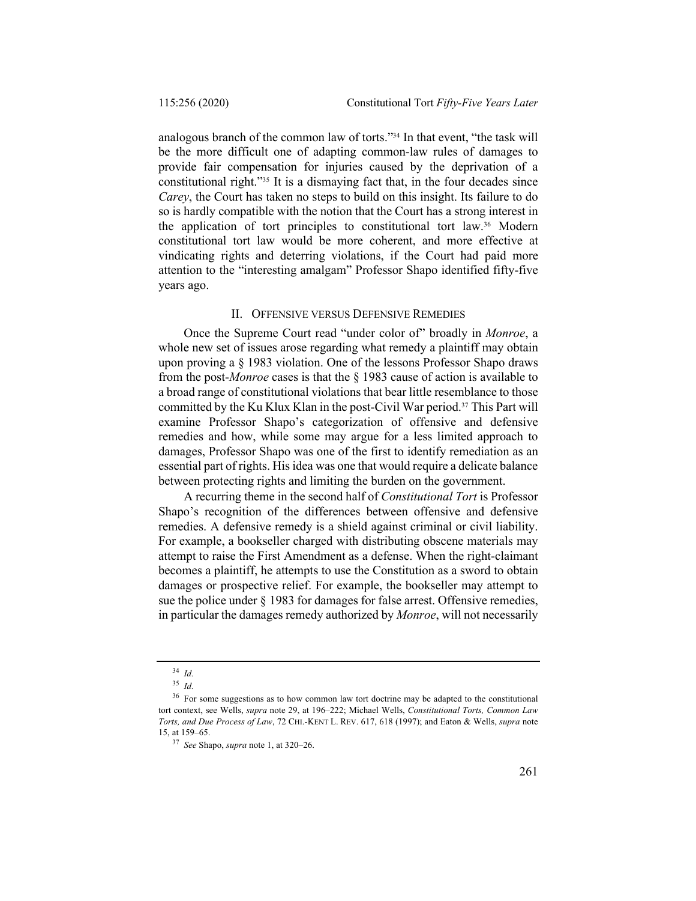analogous branch of the common law of torts."34 In that event, "the task will be the more difficult one of adapting common-law rules of damages to provide fair compensation for injuries caused by the deprivation of a constitutional right."35 It is a dismaying fact that, in the four decades since *Carey*, the Court has taken no steps to build on this insight. Its failure to do so is hardly compatible with the notion that the Court has a strong interest in the application of tort principles to constitutional tort law.36 Modern constitutional tort law would be more coherent, and more effective at vindicating rights and deterring violations, if the Court had paid more attention to the "interesting amalgam" Professor Shapo identified fifty-five years ago.

### II. OFFENSIVE VERSUS DEFENSIVE REMEDIES

Once the Supreme Court read "under color of" broadly in *Monroe*, a whole new set of issues arose regarding what remedy a plaintiff may obtain upon proving a § 1983 violation. One of the lessons Professor Shapo draws from the post-*Monroe* cases is that the § 1983 cause of action is available to a broad range of constitutional violations that bear little resemblance to those committed by the Ku Klux Klan in the post-Civil War period.37 This Part will examine Professor Shapo's categorization of offensive and defensive remedies and how, while some may argue for a less limited approach to damages, Professor Shapo was one of the first to identify remediation as an essential part of rights. His idea was one that would require a delicate balance between protecting rights and limiting the burden on the government.

A recurring theme in the second half of *Constitutional Tort* is Professor Shapo's recognition of the differences between offensive and defensive remedies. A defensive remedy is a shield against criminal or civil liability. For example, a bookseller charged with distributing obscene materials may attempt to raise the First Amendment as a defense. When the right-claimant becomes a plaintiff, he attempts to use the Constitution as a sword to obtain damages or prospective relief. For example, the bookseller may attempt to sue the police under § 1983 for damages for false arrest. Offensive remedies, in particular the damages remedy authorized by *Monroe*, will not necessarily

<sup>34</sup> *Id.*

<sup>35</sup> *Id.*

<sup>&</sup>lt;sup>36</sup> For some suggestions as to how common law tort doctrine may be adapted to the constitutional tort context, see Wells, *supra* note 29, at 196–222; Michael Wells, *Constitutional Torts, Common Law Torts, and Due Process of Law*, 72 CHI.-KENT L. REV. 617, 618 (1997); and Eaton & Wells, *supra* note 15, at 159–65.

<sup>37</sup> *See* Shapo, *supra* note 1, at 320–26.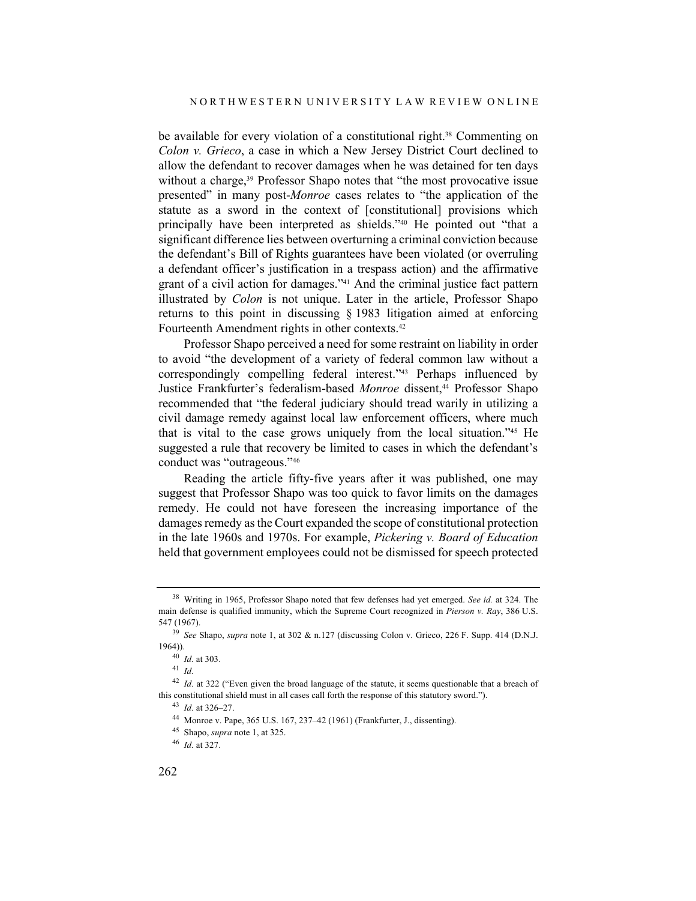be available for every violation of a constitutional right.<sup>38</sup> Commenting on *Colon v. Grieco*, a case in which a New Jersey District Court declined to allow the defendant to recover damages when he was detained for ten days without a charge,<sup>39</sup> Professor Shapo notes that "the most provocative issue presented" in many post-*Monroe* cases relates to "the application of the statute as a sword in the context of [constitutional] provisions which principally have been interpreted as shields."40 He pointed out "that a significant difference lies between overturning a criminal conviction because the defendant's Bill of Rights guarantees have been violated (or overruling a defendant officer's justification in a trespass action) and the affirmative grant of a civil action for damages."41 And the criminal justice fact pattern illustrated by *Colon* is not unique. Later in the article, Professor Shapo returns to this point in discussing § 1983 litigation aimed at enforcing Fourteenth Amendment rights in other contexts.42

Professor Shapo perceived a need for some restraint on liability in order to avoid "the development of a variety of federal common law without a correspondingly compelling federal interest."43 Perhaps influenced by Justice Frankfurter's federalism-based *Monroe* dissent,<sup>44</sup> Professor Shapo recommended that "the federal judiciary should tread warily in utilizing a civil damage remedy against local law enforcement officers, where much that is vital to the case grows uniquely from the local situation."45 He suggested a rule that recovery be limited to cases in which the defendant's conduct was "outrageous."46

Reading the article fifty-five years after it was published, one may suggest that Professor Shapo was too quick to favor limits on the damages remedy. He could not have foreseen the increasing importance of the damages remedy as the Court expanded the scope of constitutional protection in the late 1960s and 1970s. For example, *Pickering v. Board of Education* held that government employees could not be dismissed for speech protected

<sup>38</sup> Writing in 1965, Professor Shapo noted that few defenses had yet emerged. *See id.* at 324. The main defense is qualified immunity, which the Supreme Court recognized in *Pierson v. Ray*, 386 U.S. 547 (1967).

<sup>39</sup> *See* Shapo, *supra* note 1, at 302 & n.127 (discussing Colon v. Grieco, 226 F. Supp. 414 (D.N.J. 1964)).

<sup>40</sup> *Id.* at 303.

<sup>41</sup> *Id.*

<sup>&</sup>lt;sup>42</sup> *Id.* at 322 ("Even given the broad language of the statute, it seems questionable that a breach of this constitutional shield must in all cases call forth the response of this statutory sword.").

<sup>43</sup> *Id.* at 326–27.

<sup>44</sup> Monroe v. Pape, 365 U.S. 167, 237–42 (1961) (Frankfurter, J., dissenting).

<sup>45</sup> Shapo, *supra* note 1, at 325.

<sup>46</sup> *Id.* at 327.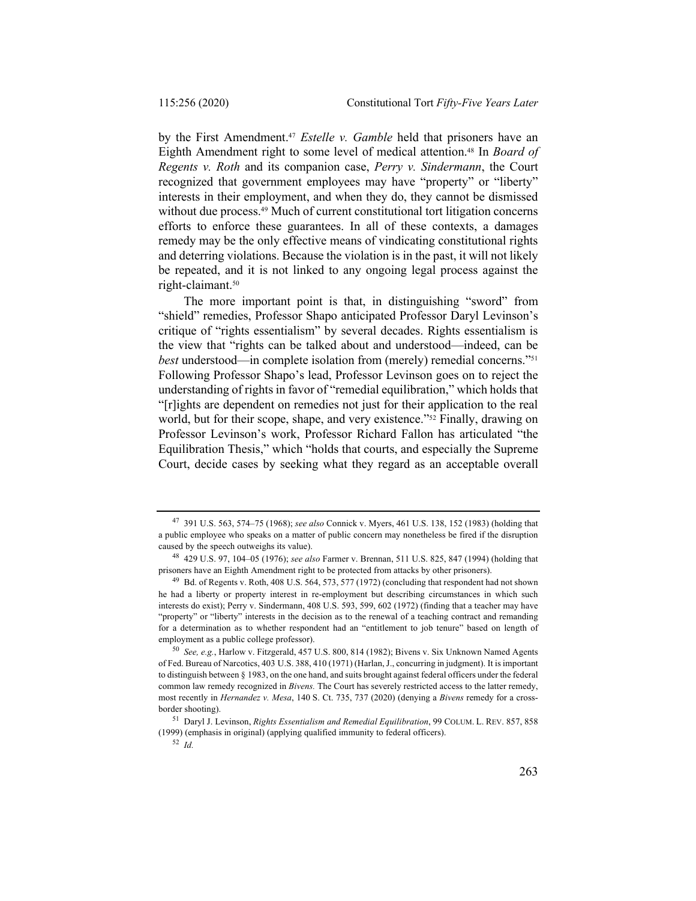by the First Amendment.47 *Estelle v. Gamble* held that prisoners have an Eighth Amendment right to some level of medical attention.48 In *Board of Regents v. Roth* and its companion case, *Perry v. Sindermann*, the Court recognized that government employees may have "property" or "liberty" interests in their employment, and when they do, they cannot be dismissed without due process.<sup>49</sup> Much of current constitutional tort litigation concerns efforts to enforce these guarantees. In all of these contexts, a damages remedy may be the only effective means of vindicating constitutional rights and deterring violations. Because the violation is in the past, it will not likely be repeated, and it is not linked to any ongoing legal process against the right-claimant.50

The more important point is that, in distinguishing "sword" from "shield" remedies, Professor Shapo anticipated Professor Daryl Levinson's critique of "rights essentialism" by several decades. Rights essentialism is the view that "rights can be talked about and understood—indeed, can be *best* understood—in complete isolation from (merely) remedial concerns."51 Following Professor Shapo's lead, Professor Levinson goes on to reject the understanding of rights in favor of "remedial equilibration," which holds that "[r]ights are dependent on remedies not just for their application to the real world, but for their scope, shape, and very existence."52 Finally, drawing on Professor Levinson's work, Professor Richard Fallon has articulated "the Equilibration Thesis," which "holds that courts, and especially the Supreme Court, decide cases by seeking what they regard as an acceptable overall

<sup>47</sup> 391 U.S. 563, 574–75 (1968); *see also* Connick v. Myers, 461 U.S. 138, 152 (1983) (holding that a public employee who speaks on a matter of public concern may nonetheless be fired if the disruption caused by the speech outweighs its value).

<sup>48</sup> 429 U.S. 97, 104–05 (1976); *see also* Farmer v. Brennan, 511 U.S. 825, 847 (1994) (holding that prisoners have an Eighth Amendment right to be protected from attacks by other prisoners).

<sup>49</sup> Bd. of Regents v. Roth, 408 U.S. 564, 573, 577 (1972) (concluding that respondent had not shown he had a liberty or property interest in re-employment but describing circumstances in which such interests do exist); Perry v. Sindermann, 408 U.S. 593, 599, 602 (1972) (finding that a teacher may have "property" or "liberty" interests in the decision as to the renewal of a teaching contract and remanding for a determination as to whether respondent had an "entitlement to job tenure" based on length of employment as a public college professor).

<sup>50</sup> *See, e.g.*, Harlow v. Fitzgerald, 457 U.S. 800, 814 (1982); Bivens v. Six Unknown Named Agents of Fed. Bureau of Narcotics, 403 U.S. 388, 410 (1971) (Harlan, J., concurring in judgment). It is important to distinguish between § 1983, on the one hand, and suits brought against federal officers under the federal common law remedy recognized in *Bivens.* The Court has severely restricted access to the latter remedy, most recently in *Hernandez v. Mesa*, 140 S. Ct. 735, 737 (2020) (denying a *Bivens* remedy for a crossborder shooting).

<sup>51</sup> Daryl J. Levinson, *Rights Essentialism and Remedial Equilibration*, 99 COLUM. L. REV. 857, 858 (1999) (emphasis in original) (applying qualified immunity to federal officers).

<sup>52</sup> *Id.*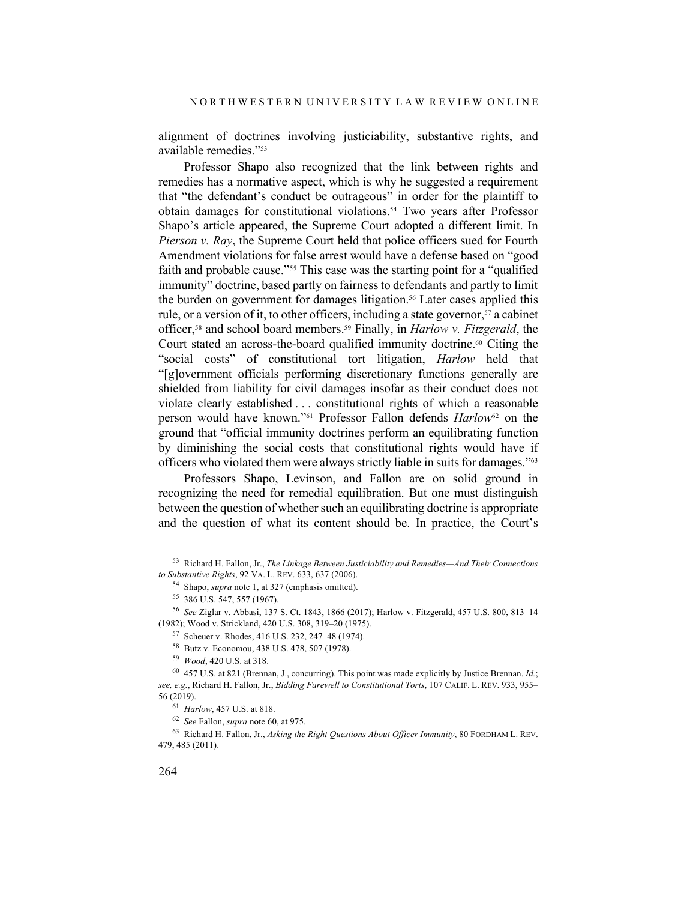alignment of doctrines involving justiciability, substantive rights, and available remedies."53

Professor Shapo also recognized that the link between rights and remedies has a normative aspect, which is why he suggested a requirement that "the defendant's conduct be outrageous" in order for the plaintiff to obtain damages for constitutional violations.<sup>54</sup> Two years after Professor Shapo's article appeared, the Supreme Court adopted a different limit. In *Pierson v. Ray*, the Supreme Court held that police officers sued for Fourth Amendment violations for false arrest would have a defense based on "good faith and probable cause."55 This case was the starting point for a "qualified immunity" doctrine, based partly on fairness to defendants and partly to limit the burden on government for damages litigation.<sup>56</sup> Later cases applied this rule, or a version of it, to other officers, including a state governor,  $57$  a cabinet officer,58 and school board members.59 Finally, in *Harlow v. Fitzgerald*, the Court stated an across-the-board qualified immunity doctrine.<sup>60</sup> Citing the "social costs" of constitutional tort litigation, *Harlow* held that "[g]overnment officials performing discretionary functions generally are shielded from liability for civil damages insofar as their conduct does not violate clearly established . . . constitutional rights of which a reasonable person would have known."61 Professor Fallon defends *Harlow*<sup>62</sup> on the ground that "official immunity doctrines perform an equilibrating function by diminishing the social costs that constitutional rights would have if officers who violated them were always strictly liable in suits for damages."<sup>63</sup>

Professors Shapo, Levinson, and Fallon are on solid ground in recognizing the need for remedial equilibration. But one must distinguish between the question of whether such an equilibrating doctrine is appropriate and the question of what its content should be. In practice, the Court's

<sup>63</sup> Richard H. Fallon, Jr., *Asking the Right Questions About Officer Immunity*, 80 FORDHAM L. REV. 479, 485 (2011).

<sup>53</sup> Richard H. Fallon, Jr., *The Linkage Between Justiciability and Remedies—And Their Connections to Substantive Rights*, 92 VA. L. REV. 633, 637 (2006).

<sup>54</sup> Shapo, *supra* note 1, at 327 (emphasis omitted).

<sup>55</sup> 386 U.S. 547, 557 (1967).

<sup>56</sup> *See* Ziglar v. Abbasi, 137 S. Ct. 1843, 1866 (2017); Harlow v. Fitzgerald, 457 U.S. 800, 813–14 (1982); Wood v. Strickland, 420 U.S. 308, 319–20 (1975).

<sup>57</sup> Scheuer v. Rhodes, 416 U.S. 232, 247–48 (1974).

<sup>58</sup> Butz v. Economou, 438 U.S. 478, 507 (1978).

<sup>59</sup> *Wood*, 420 U.S. at 318.

<sup>60</sup> 457 U.S. at 821 (Brennan, J., concurring). This point was made explicitly by Justice Brennan. *Id.*; *see, e.g.*, Richard H. Fallon, Jr., *Bidding Farewell to Constitutional Torts*, 107 CALIF. L. REV. 933, 955– 56 (2019).

<sup>61</sup> *Harlow*, 457 U.S. at 818.

<sup>62</sup> *See* Fallon, *supra* note 60, at 975.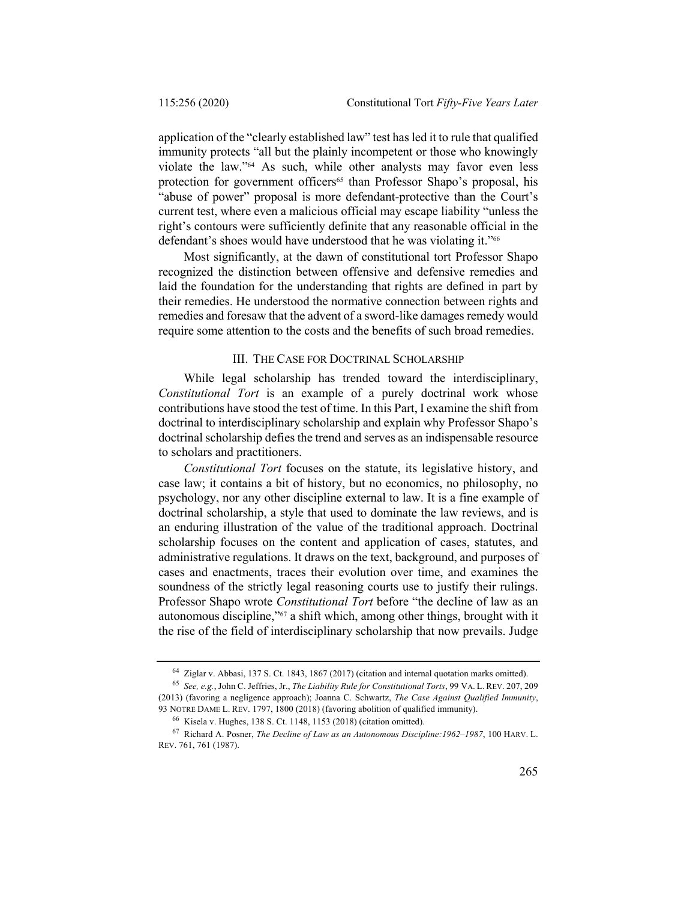application of the "clearly established law" test has led it to rule that qualified immunity protects "all but the plainly incompetent or those who knowingly violate the law."64 As such, while other analysts may favor even less protection for government officers<sup>65</sup> than Professor Shapo's proposal, his "abuse of power" proposal is more defendant-protective than the Court's current test, where even a malicious official may escape liability "unless the right's contours were sufficiently definite that any reasonable official in the defendant's shoes would have understood that he was violating it."66

Most significantly, at the dawn of constitutional tort Professor Shapo recognized the distinction between offensive and defensive remedies and laid the foundation for the understanding that rights are defined in part by their remedies. He understood the normative connection between rights and remedies and foresaw that the advent of a sword-like damages remedy would require some attention to the costs and the benefits of such broad remedies.

#### III. THE CASE FOR DOCTRINAL SCHOLARSHIP

While legal scholarship has trended toward the interdisciplinary, *Constitutional Tort* is an example of a purely doctrinal work whose contributions have stood the test of time. In this Part, I examine the shift from doctrinal to interdisciplinary scholarship and explain why Professor Shapo's doctrinal scholarship defies the trend and serves as an indispensable resource to scholars and practitioners.

*Constitutional Tort* focuses on the statute, its legislative history, and case law; it contains a bit of history, but no economics, no philosophy, no psychology, nor any other discipline external to law. It is a fine example of doctrinal scholarship, a style that used to dominate the law reviews, and is an enduring illustration of the value of the traditional approach. Doctrinal scholarship focuses on the content and application of cases, statutes, and administrative regulations. It draws on the text, background, and purposes of cases and enactments, traces their evolution over time, and examines the soundness of the strictly legal reasoning courts use to justify their rulings. Professor Shapo wrote *Constitutional Tort* before "the decline of law as an autonomous discipline,"67 a shift which, among other things, brought with it the rise of the field of interdisciplinary scholarship that now prevails. Judge

<sup>64</sup> Ziglar v. Abbasi, 137 S. Ct. 1843, 1867 (2017) (citation and internal quotation marks omitted).

<sup>65</sup> *See, e.g.*, John C. Jeffries, Jr., *The Liability Rule for Constitutional Torts*, 99 VA. L. REV. 207, 209 (2013) (favoring a negligence approach); Joanna C. Schwartz, *The Case Against Qualified Immunity*, 93 NOTRE DAME L. REV. 1797, 1800 (2018) (favoring abolition of qualified immunity).

<sup>66</sup> Kisela v. Hughes, 138 S. Ct. 1148, 1153 (2018) (citation omitted).

<sup>67</sup> Richard A. Posner, *The Decline of Law as an Autonomous Discipline:1962–1987*, 100 HARV. L. REV. 761, 761 (1987).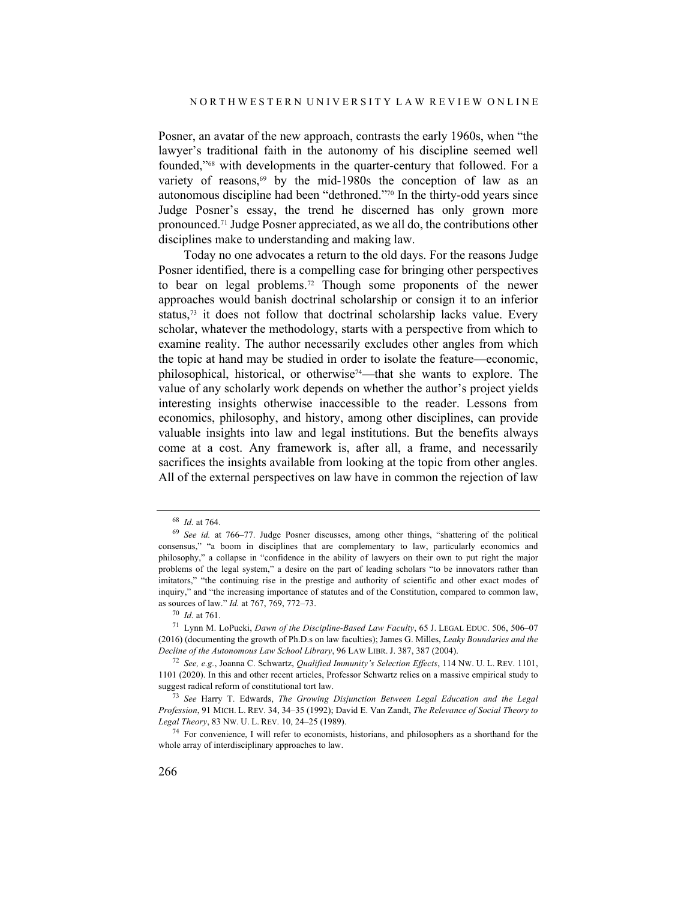Posner, an avatar of the new approach, contrasts the early 1960s, when "the lawyer's traditional faith in the autonomy of his discipline seemed well founded,"68 with developments in the quarter-century that followed. For a variety of reasons,<sup>69</sup> by the mid-1980s the conception of law as an autonomous discipline had been "dethroned."70 In the thirty-odd years since Judge Posner's essay, the trend he discerned has only grown more pronounced.71 Judge Posner appreciated, as we all do, the contributions other disciplines make to understanding and making law.

Today no one advocates a return to the old days. For the reasons Judge Posner identified, there is a compelling case for bringing other perspectives to bear on legal problems.72 Though some proponents of the newer approaches would banish doctrinal scholarship or consign it to an inferior status,<sup>73</sup> it does not follow that doctrinal scholarship lacks value. Every scholar, whatever the methodology, starts with a perspective from which to examine reality. The author necessarily excludes other angles from which the topic at hand may be studied in order to isolate the feature—economic, philosophical, historical, or otherwise74—that she wants to explore. The value of any scholarly work depends on whether the author's project yields interesting insights otherwise inaccessible to the reader. Lessons from economics, philosophy, and history, among other disciplines, can provide valuable insights into law and legal institutions. But the benefits always come at a cost. Any framework is, after all, a frame, and necessarily sacrifices the insights available from looking at the topic from other angles. All of the external perspectives on law have in common the rejection of law

<sup>68</sup> *Id.* at 764.

<sup>69</sup> *See id.* at 766–77. Judge Posner discusses, among other things, "shattering of the political consensus," "a boom in disciplines that are complementary to law, particularly economics and philosophy," a collapse in "confidence in the ability of lawyers on their own to put right the major problems of the legal system," a desire on the part of leading scholars "to be innovators rather than imitators," "the continuing rise in the prestige and authority of scientific and other exact modes of inquiry," and "the increasing importance of statutes and of the Constitution, compared to common law, as sources of law." *Id.* at 767, 769, 772–73.

<sup>70</sup> *Id.* at 761.

<sup>71</sup> Lynn M. LoPucki, *Dawn of the Discipline-Based Law Faculty*, 65 J. LEGAL EDUC. 506, 506–07 (2016) (documenting the growth of Ph.D.s on law faculties); James G. Milles, *Leaky Boundaries and the Decline of the Autonomous Law School Library*, 96 LAW LIBR. J. 387, 387 (2004).

<sup>72</sup> *See, e.g.*, Joanna C. Schwartz, *Qualified Immunity's Selection Effects*, 114 NW. U. L. REV. 1101, 1101 (2020). In this and other recent articles, Professor Schwartz relies on a massive empirical study to suggest radical reform of constitutional tort law.

<sup>73</sup> *See* Harry T. Edwards, *The Growing Disjunction Between Legal Education and the Legal Profession*, 91 MICH. L. REV. 34, 34–35 (1992); David E. Van Zandt, *The Relevance of Social Theory to Legal Theory*, 83 NW. U. L. REV. 10, 24–25 (1989).

<sup>74</sup> For convenience, I will refer to economists, historians, and philosophers as a shorthand for the whole array of interdisciplinary approaches to law.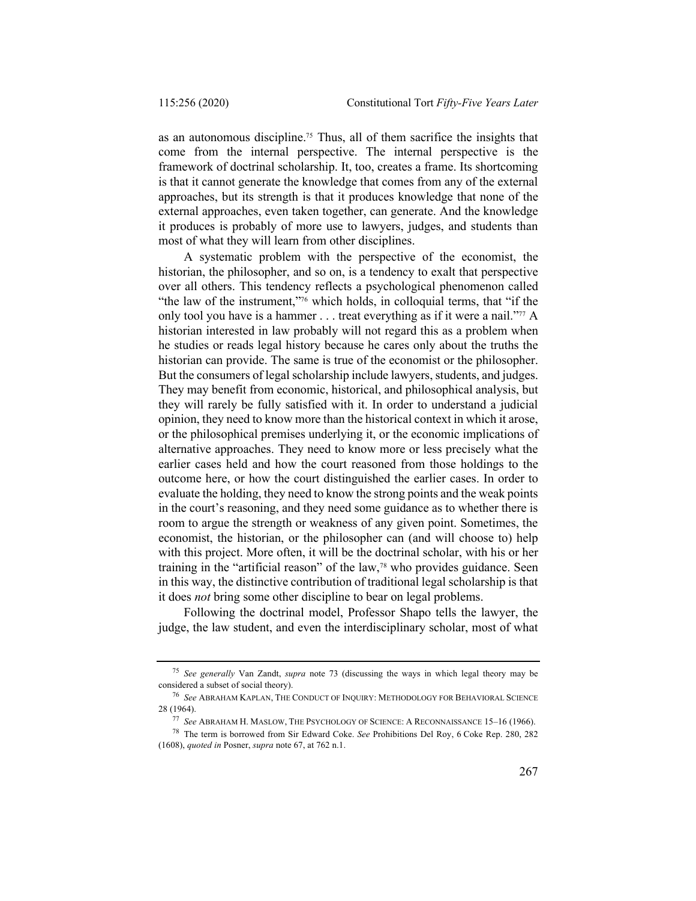as an autonomous discipline.75 Thus, all of them sacrifice the insights that come from the internal perspective. The internal perspective is the framework of doctrinal scholarship. It, too, creates a frame. Its shortcoming is that it cannot generate the knowledge that comes from any of the external approaches, but its strength is that it produces knowledge that none of the external approaches, even taken together, can generate. And the knowledge it produces is probably of more use to lawyers, judges, and students than most of what they will learn from other disciplines.

A systematic problem with the perspective of the economist, the historian, the philosopher, and so on, is a tendency to exalt that perspective over all others. This tendency reflects a psychological phenomenon called "the law of the instrument,"76 which holds, in colloquial terms, that "if the only tool you have is a hammer . . . treat everything as if it were a nail."<sup>77</sup> A historian interested in law probably will not regard this as a problem when he studies or reads legal history because he cares only about the truths the historian can provide. The same is true of the economist or the philosopher. But the consumers of legal scholarship include lawyers, students, and judges. They may benefit from economic, historical, and philosophical analysis, but they will rarely be fully satisfied with it. In order to understand a judicial opinion, they need to know more than the historical context in which it arose, or the philosophical premises underlying it, or the economic implications of alternative approaches. They need to know more or less precisely what the earlier cases held and how the court reasoned from those holdings to the outcome here, or how the court distinguished the earlier cases. In order to evaluate the holding, they need to know the strong points and the weak points in the court's reasoning, and they need some guidance as to whether there is room to argue the strength or weakness of any given point. Sometimes, the economist, the historian, or the philosopher can (and will choose to) help with this project. More often, it will be the doctrinal scholar, with his or her training in the "artificial reason" of the law,78 who provides guidance. Seen in this way, the distinctive contribution of traditional legal scholarship is that it does *not* bring some other discipline to bear on legal problems.

Following the doctrinal model, Professor Shapo tells the lawyer, the judge, the law student, and even the interdisciplinary scholar, most of what

<sup>75</sup> *See generally* Van Zandt, *supra* note 73 (discussing the ways in which legal theory may be considered a subset of social theory).

<sup>76</sup> *See* ABRAHAM KAPLAN, THE CONDUCT OF INQUIRY: METHODOLOGY FOR BEHAVIORAL SCIENCE 28 (1964).

<sup>77</sup> *See* ABRAHAM H. MASLOW, THE PSYCHOLOGY OF SCIENCE: A RECONNAISSANCE 15–16 (1966).

<sup>78</sup> The term is borrowed from Sir Edward Coke. *See* Prohibitions Del Roy, 6 Coke Rep. 280, 282 (1608), *quoted in* Posner, *supra* note 67, at 762 n.1.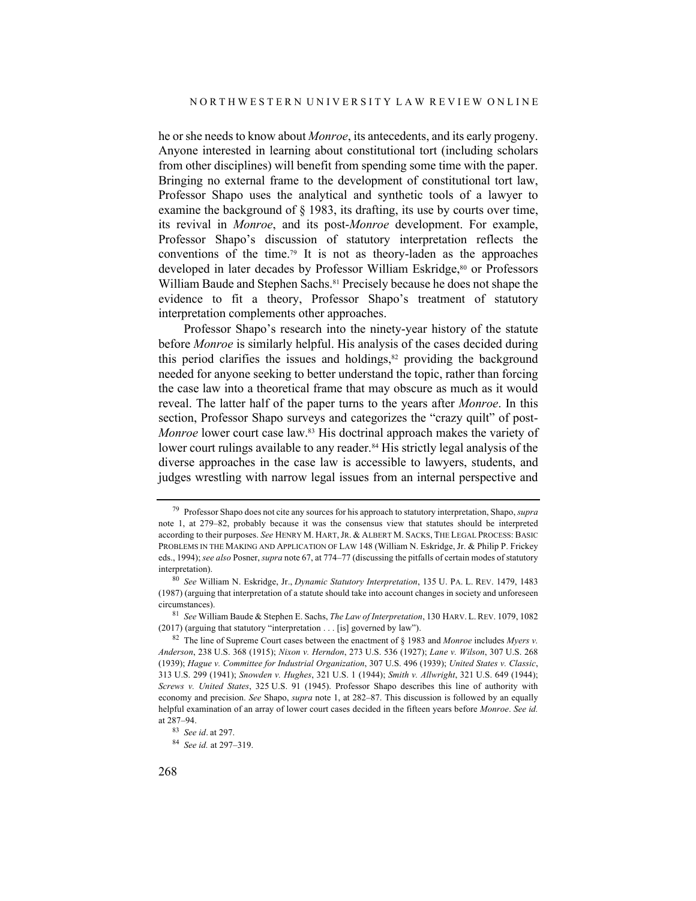he or she needs to know about *Monroe*, its antecedents, and its early progeny. Anyone interested in learning about constitutional tort (including scholars from other disciplines) will benefit from spending some time with the paper. Bringing no external frame to the development of constitutional tort law, Professor Shapo uses the analytical and synthetic tools of a lawyer to examine the background of § 1983, its drafting, its use by courts over time, its revival in *Monroe*, and its post-*Monroe* development. For example, Professor Shapo's discussion of statutory interpretation reflects the conventions of the time.79 It is not as theory-laden as the approaches developed in later decades by Professor William Eskridge,<sup>80</sup> or Professors William Baude and Stephen Sachs.<sup>81</sup> Precisely because he does not shape the evidence to fit a theory, Professor Shapo's treatment of statutory interpretation complements other approaches.

Professor Shapo's research into the ninety-year history of the statute before *Monroe* is similarly helpful. His analysis of the cases decided during this period clarifies the issues and holdings, $82$  providing the background needed for anyone seeking to better understand the topic, rather than forcing the case law into a theoretical frame that may obscure as much as it would reveal. The latter half of the paper turns to the years after *Monroe*. In this section, Professor Shapo surveys and categorizes the "crazy quilt" of post-*Monroe* lower court case law.<sup>83</sup> His doctrinal approach makes the variety of lower court rulings available to any reader.<sup>84</sup> His strictly legal analysis of the diverse approaches in the case law is accessible to lawyers, students, and judges wrestling with narrow legal issues from an internal perspective and

<sup>79</sup> Professor Shapo does not cite any sources for his approach to statutory interpretation, Shapo, *supra* note 1, at 279–82, probably because it was the consensus view that statutes should be interpreted according to their purposes. *See* HENRY M. HART,JR. & ALBERT M. SACKS, THE LEGAL PROCESS: BASIC PROBLEMS IN THE MAKING AND APPLICATION OF LAW 148 (William N. Eskridge, Jr. & Philip P. Frickey eds., 1994); *see also* Posner, *supra* note 67, at 774–77 (discussing the pitfalls of certain modes of statutory interpretation).

<sup>80</sup> *See* William N. Eskridge, Jr., *Dynamic Statutory Interpretation*, 135 U. PA. L. REV. 1479, 1483 (1987) (arguing that interpretation of a statute should take into account changes in society and unforeseen circumstances).

<sup>81</sup> *See* William Baude & Stephen E. Sachs, *The Law of Interpretation*, 130 HARV. L.REV. 1079, 1082 (2017) (arguing that statutory "interpretation . . . [is] governed by law").

<sup>82</sup> The line of Supreme Court cases between the enactment of § 1983 and *Monroe* includes *Myers v. Anderson*, 238 U.S. 368 (1915); *Nixon v. Herndon*, 273 U.S. 536 (1927); *Lane v. Wilson*, 307 U.S. 268 (1939); *Hague v. Committee for Industrial Organization*, 307 U.S. 496 (1939); *United States v. Classic*, 313 U.S. 299 (1941); *Snowden v. Hughes*, 321 U.S. 1 (1944); *Smith v. Allwright*, 321 U.S. 649 (1944); *Screws v. United States*, 325 U.S. 91 (1945). Professor Shapo describes this line of authority with economy and precision. *See* Shapo, *supra* note 1, at 282–87. This discussion is followed by an equally helpful examination of an array of lower court cases decided in the fifteen years before *Monroe*. *See id.* at 287–94.

<sup>83</sup> *See id*. at 297.

<sup>84</sup> *See id.* at 297–319.